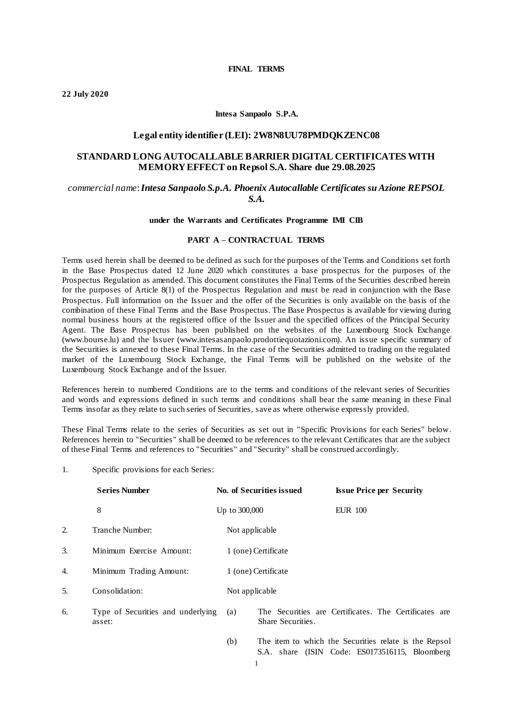#### **Intesa Sanpaolo S.P.A.**

#### **Legal entity identifier (LEI): 2W8N8UU78PMDQKZENC08**

# **STANDARD LONG AUTOCALLABLE BARRIER DIGITAL CERTIFICATES WITH MEMORY EFFECT on Repsol S.A. Share due 29.08.2025**

*commercial name*:*Intesa Sanpaolo S.p.A. Phoenix Autocallable Certificates su Azione REPSOL S.A.*

#### **under the Warrants and Certificates Programme IMI CIB**

#### **PART A – CONTRACTUAL TERMS**

Terms used herein shall be deemed to be defined as such for the purposes of the Terms and Conditions set forth in the Base Prospectus dated 12 June 2020 which constitutes a base prospectus for the purposes of the Prospectus Regulation as amended. This document constitutes the Final Terms of the Securities described herein for the purposes of Article 8(1) of the Prospectus Regulation and must be read in conjunction with the Base Prospectus. Full information on the Issuer and the offer of the Securities is only available on the basis of the combination of these Final Terms and the Base Prospectus. The Base Prospectus is available for viewing during normal business hours at the registered office of the Issuer and the specified offices of the Principal Security Agent. The Base Prospectus has been published on the websites of the Luxembourg Stock Exchange (www.bourse.lu) and the Issuer (www.intesasanpaolo.prodottiequotazioni.com). An issue specific summary of the Securities is annexed to these Final Terms. In the case of the Securities admitted to trading on the regulated market of the Luxembourg Stock Exchange, the Final Terms will be published on the website of the Luxembourg Stock Exchange and of the Issuer.

References herein to numbered Conditions are to the terms and conditions of the relevant series of Securities and words and expressions defined in such terms and conditions shall bear the same meaning in these Final Terms insofar as they relate to such series of Securities, save as where otherwise expressly provided.

These Final Terms relate to the series of Securities as set out in "Specific Provisions for each Series" below. References herein to "Securities" shall be deemed to be references to the relevant Certificates that are the subject of these Final Terms and references to "Securities" and "Security" shall be construed accordingly.

1. Specific provisions for each Series:

|    | <b>Series Number</b>                        |               | No. of Securities issued | <b>Issue Price per Security</b>                                                                         |
|----|---------------------------------------------|---------------|--------------------------|---------------------------------------------------------------------------------------------------------|
|    | 8                                           | Up to 300,000 |                          | <b>EUR 100</b>                                                                                          |
| 2. | Tranche Number:                             |               | Not applicable           |                                                                                                         |
| 3. | Minimum Exercise Amount:                    |               | 1 (one) Certificate      |                                                                                                         |
| 4. | Minimum Trading Amount:                     |               | 1 (one) Certificate      |                                                                                                         |
| 5. | Consolidation:                              |               | Not applicable           |                                                                                                         |
| 6. | Type of Securities and underlying<br>asset: | (a)           | Share Securities.        | The Securities are Certificates. The Certificates are                                                   |
|    |                                             | (b)           |                          | The item to which the Securities relate is the Repsol<br>S.A. share (ISIN Code: ES0173516115, Bloomberg |

1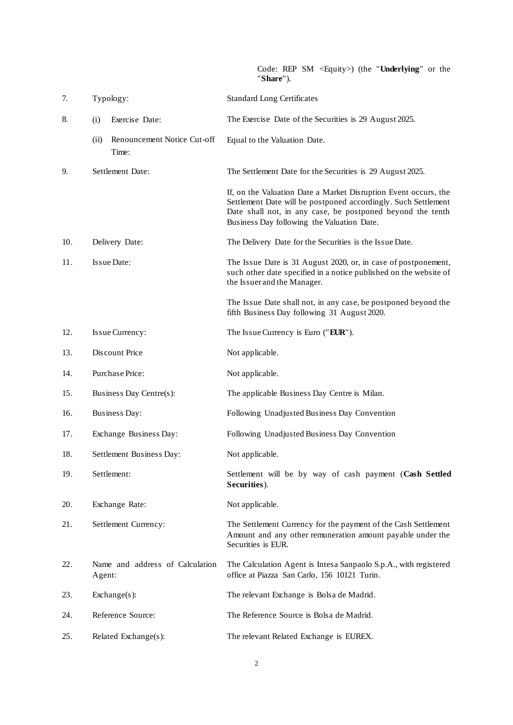Code: REP SM <Equity>) (the "**Underlying**" or the "**Share**").

| 7.  |        | Typology:                            | <b>Standard Long Certificates</b>                                                                                                                                                                                                             |  |
|-----|--------|--------------------------------------|-----------------------------------------------------------------------------------------------------------------------------------------------------------------------------------------------------------------------------------------------|--|
| 8.  | (i)    | Exercise Date:                       | The Exercise Date of the Securities is 29 August 2025.                                                                                                                                                                                        |  |
|     | (ii)   | Renouncement Notice Cut-off<br>Time: | Equal to the Valuation Date.                                                                                                                                                                                                                  |  |
| 9.  |        | Settlement Date:                     | The Settlement Date for the Securities is 29 August 2025.                                                                                                                                                                                     |  |
|     |        |                                      | If, on the Valuation Date a Market Disruption Event occurs, the<br>Settlement Date will be postponed accordingly. Such Settlement<br>Date shall not, in any case, be postponed beyond the tenth<br>Business Day following the Valuation Date. |  |
| 10. |        | Delivery Date:                       | The Delivery Date for the Securities is the Issue Date.                                                                                                                                                                                       |  |
| 11. |        | Issue Date:                          | The Issue Date is 31 August 2020, or, in case of postponement,<br>such other date specified in a notice published on the website of<br>the Issuer and the Manager.                                                                            |  |
|     |        |                                      | The Issue Date shall not, in any case, be postponed beyond the<br>fifth Business Day following 31 August 2020.                                                                                                                                |  |
| 12. |        | Issue Currency:                      | The Issue Currency is Euro ("EUR").                                                                                                                                                                                                           |  |
| 13. |        | Discount Price                       | Not applicable.                                                                                                                                                                                                                               |  |
| 14. |        | Purchase Price:                      | Not applicable.                                                                                                                                                                                                                               |  |
| 15. |        | Business Day Centre(s):              | The applicable Business Day Centre is Milan.                                                                                                                                                                                                  |  |
| 16. |        | <b>Business Day:</b>                 | Following Unadjusted Business Day Convention                                                                                                                                                                                                  |  |
| 17. |        | Exchange Business Day:               | Following Unadjusted Business Day Convention                                                                                                                                                                                                  |  |
| 18. |        | Settlement Business Day:             | Not applicable.                                                                                                                                                                                                                               |  |
| 19. |        | Settlement:                          | Settlement will be by way of cash payment (Cash Settled<br>Securities).                                                                                                                                                                       |  |
| 20. |        | Exchange Rate:                       | Not applicable.                                                                                                                                                                                                                               |  |
| 21. |        | Settlement Currency:                 | The Settlement Currency for the payment of the Cash Settlement<br>Amount and any other remuneration amount payable under the<br>Securities is EUR.                                                                                            |  |
| 22. | Agent: | Name and address of Calculation      | The Calculation Agent is Intesa Sanpaolo S.p.A., with registered<br>office at Piazza San Carlo, 156 10121 Turin.                                                                                                                              |  |
| 23. |        | $Exchange(s)$ :                      | The relevant Exchange is Bolsa de Madrid.                                                                                                                                                                                                     |  |
| 24. |        | Reference Source:                    | The Reference Source is Bolsa de Madrid.                                                                                                                                                                                                      |  |
| 25. |        | Related Exchange(s):                 | The relevant Related Exchange is EUREX.                                                                                                                                                                                                       |  |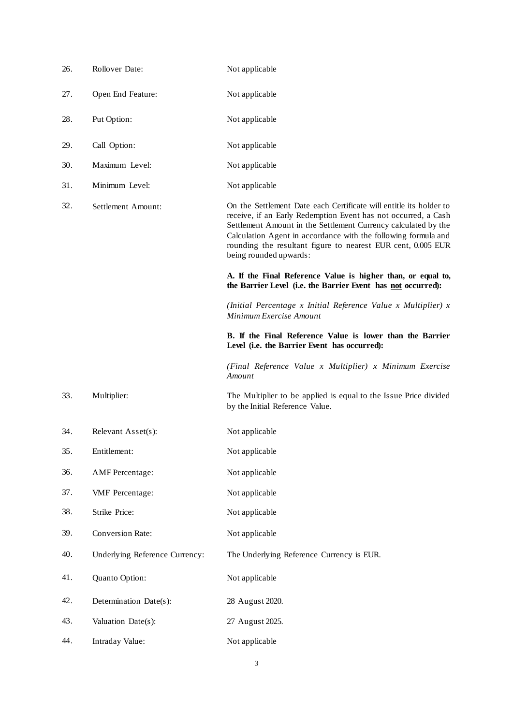| 26. | Rollover Date:                 | Not applicable                                                                                                                                                                                                                                                                                                                                                     |
|-----|--------------------------------|--------------------------------------------------------------------------------------------------------------------------------------------------------------------------------------------------------------------------------------------------------------------------------------------------------------------------------------------------------------------|
| 27. | Open End Feature:              | Not applicable                                                                                                                                                                                                                                                                                                                                                     |
| 28. | Put Option:                    | Not applicable                                                                                                                                                                                                                                                                                                                                                     |
| 29. | Call Option:                   | Not applicable                                                                                                                                                                                                                                                                                                                                                     |
| 30. | Maximum Level:                 | Not applicable                                                                                                                                                                                                                                                                                                                                                     |
| 31. | Minimum Level:                 | Not applicable                                                                                                                                                                                                                                                                                                                                                     |
| 32. | Settlement Amount:             | On the Settlement Date each Certificate will entitle its holder to<br>receive, if an Early Redemption Event has not occurred, a Cash<br>Settlement Amount in the Settlement Currency calculated by the<br>Calculation Agent in accordance with the following formula and<br>rounding the resultant figure to nearest EUR cent, 0.005 EUR<br>being rounded upwards: |
|     |                                | A. If the Final Reference Value is higher than, or equal to,<br>the Barrier Level (i.e. the Barrier Event has not occurred):                                                                                                                                                                                                                                       |
|     |                                | (Initial Percentage x Initial Reference Value x Multiplier) x<br>Minimum Exercise Amount                                                                                                                                                                                                                                                                           |
|     |                                | B. If the Final Reference Value is lower than the Barrier<br>Level (i.e. the Barrier Event has occurred):                                                                                                                                                                                                                                                          |
|     |                                | (Final Reference Value x Multiplier) x Minimum Exercise<br>Amount                                                                                                                                                                                                                                                                                                  |
| 33. | Multiplier:                    | The Multiplier to be applied is equal to the Issue Price divided<br>by the Initial Reference Value.                                                                                                                                                                                                                                                                |
| 34. | Relevant Asset(s):             | Not applicable                                                                                                                                                                                                                                                                                                                                                     |
| 35. | Entitlement:                   | Not applicable                                                                                                                                                                                                                                                                                                                                                     |
| 36. | <b>AMF</b> Percentage:         | Not applicable                                                                                                                                                                                                                                                                                                                                                     |
| 37. | VMF Percentage:                | Not applicable                                                                                                                                                                                                                                                                                                                                                     |
| 38. | Strike Price:                  | Not applicable                                                                                                                                                                                                                                                                                                                                                     |
| 39. | <b>Conversion Rate:</b>        | Not applicable                                                                                                                                                                                                                                                                                                                                                     |
| 40. | Underlying Reference Currency: | The Underlying Reference Currency is EUR.                                                                                                                                                                                                                                                                                                                          |
| 41. | Quanto Option:                 | Not applicable                                                                                                                                                                                                                                                                                                                                                     |
| 42. | Determination Date(s):         | 28 August 2020.                                                                                                                                                                                                                                                                                                                                                    |
| 43. | Valuation Date(s):             | 27 August 2025.                                                                                                                                                                                                                                                                                                                                                    |
| 44. | Intraday Value:                | Not applicable                                                                                                                                                                                                                                                                                                                                                     |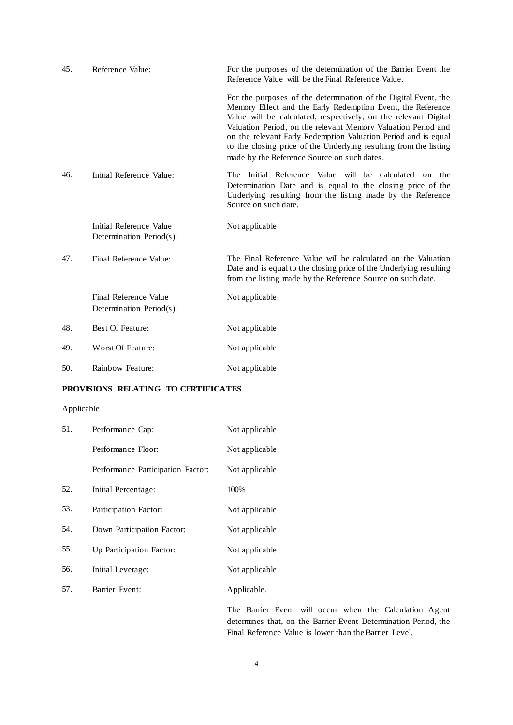| 45. | Reference Value:                                    | For the purposes of the determination of the Barrier Event the<br>Reference Value will be the Final Reference Value.                                                                                                                                                                                                                                                                                                                                     |  |
|-----|-----------------------------------------------------|----------------------------------------------------------------------------------------------------------------------------------------------------------------------------------------------------------------------------------------------------------------------------------------------------------------------------------------------------------------------------------------------------------------------------------------------------------|--|
|     |                                                     | For the purposes of the determination of the Digital Event, the<br>Memory Effect and the Early Redemption Event, the Reference<br>Value will be calculated, respectively, on the relevant Digital<br>Valuation Period, on the relevant Memory Valuation Period and<br>on the relevant Early Redemption Valuation Period and is equal<br>to the closing price of the Underlying resulting from the listing<br>made by the Reference Source on such dates. |  |
| 46. | Initial Reference Value:                            | The Initial Reference Value will be calculated on the<br>Determination Date and is equal to the closing price of the<br>Underlying resulting from the listing made by the Reference<br>Source on such date.                                                                                                                                                                                                                                              |  |
|     | Initial Reference Value<br>Determination Period(s): | Not applicable                                                                                                                                                                                                                                                                                                                                                                                                                                           |  |
| 47. | Final Reference Value:                              | The Final Reference Value will be calculated on the Valuation<br>Date and is equal to the closing price of the Underlying resulting<br>from the listing made by the Reference Source on such date.                                                                                                                                                                                                                                                       |  |
|     | Final Reference Value<br>Determination Period(s):   | Not applicable                                                                                                                                                                                                                                                                                                                                                                                                                                           |  |
| 48. | <b>Best Of Feature:</b>                             | Not applicable                                                                                                                                                                                                                                                                                                                                                                                                                                           |  |
| 49. | Worst Of Feature:                                   | Not applicable                                                                                                                                                                                                                                                                                                                                                                                                                                           |  |
| 50. | Rainbow Feature:                                    | Not applicable                                                                                                                                                                                                                                                                                                                                                                                                                                           |  |

# **PROVISIONS RELATING TO CERTIFICATES**

# Applicable

| 51. | Performance Cap:                  | Not applicable |
|-----|-----------------------------------|----------------|
|     | Performance Floor:                | Not applicable |
|     | Performance Participation Factor: | Not applicable |
| 52. | Initial Percentage:               | 100%           |
| 53. | Participation Factor:             | Not applicable |
| 54. | Down Participation Factor:        | Not applicable |
| 55. | Up Participation Factor:          | Not applicable |
| 56. | Initial Leverage:                 | Not applicable |
| 57. | Barrier Event:                    | Applicable.    |
|     |                                   |                |

The Barrier Event will occur when the Calculation Agent determines that, on the Barrier Event Determination Period, the Final Reference Value is lower than the Barrier Level.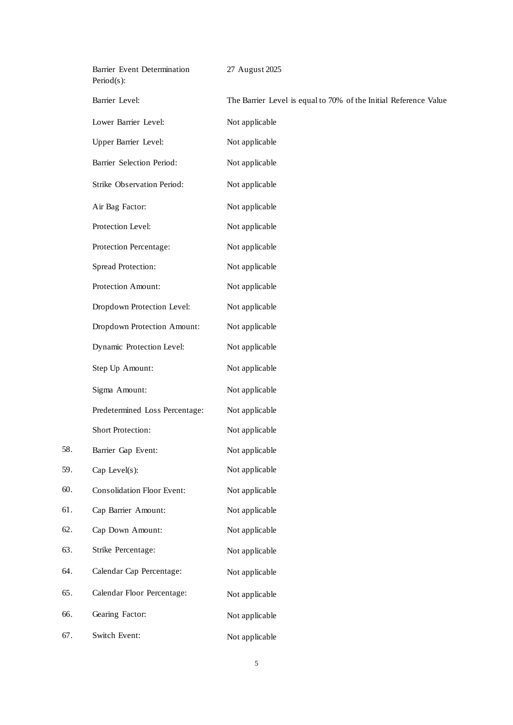|     | Barrier Event Determination<br>$Period(s)$ : | 27 August 2025                                                   |
|-----|----------------------------------------------|------------------------------------------------------------------|
|     | Barrier Level:                               | The Barrier Level is equal to 70% of the Initial Reference Value |
|     | Lower Barrier Level:                         | Not applicable                                                   |
|     | Upper Barrier Level:                         | Not applicable                                                   |
|     | Barrier Selection Period:                    | Not applicable                                                   |
|     | Strike Observation Period:                   | Not applicable                                                   |
|     | Air Bag Factor:                              | Not applicable                                                   |
|     | Protection Level:                            | Not applicable                                                   |
|     | Protection Percentage:                       | Not applicable                                                   |
|     | Spread Protection:                           | Not applicable                                                   |
|     | Protection Amount:                           | Not applicable                                                   |
|     | Dropdown Protection Level:                   | Not applicable                                                   |
|     | Dropdown Protection Amount:                  | Not applicable                                                   |
|     | Dynamic Protection Level:                    | Not applicable                                                   |
|     | Step Up Amount:                              | Not applicable                                                   |
|     | Sigma Amount:                                | Not applicable                                                   |
|     | Predetermined Loss Percentage:               | Not applicable                                                   |
|     | Short Protection:                            | Not applicable                                                   |
| 58. | Barrier Gap Event:                           | Not applicable                                                   |
| 59. | Cap Level(s):                                | Not applicable                                                   |
| 60. | Consolidation Floor Event:                   | Not applicable                                                   |
| 61. | Cap Barrier Amount:                          | Not applicable                                                   |
| 62. | Cap Down Amount:                             | Not applicable                                                   |
| 63. | Strike Percentage:                           | Not applicable                                                   |
| 64. | Calendar Cap Percentage:                     | Not applicable                                                   |
| 65. | Calendar Floor Percentage:                   | Not applicable                                                   |
| 66. | Gearing Factor:                              | Not applicable                                                   |
| 67. | Switch Event:                                | Not applicable                                                   |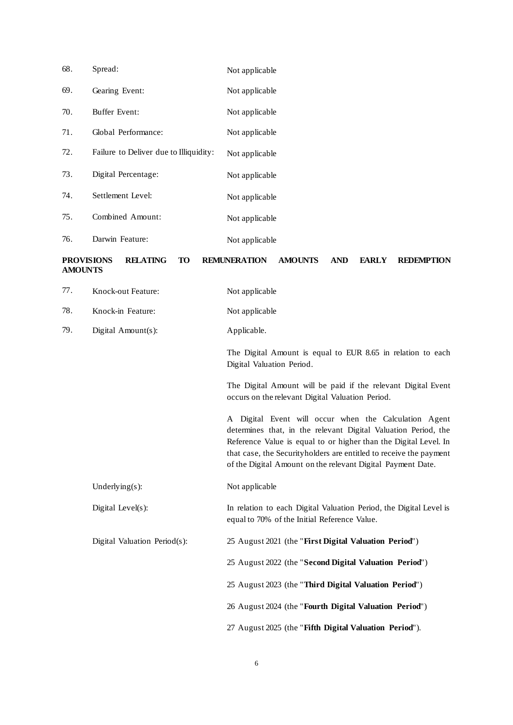| 68. | Spread:                                | Not applicable |
|-----|----------------------------------------|----------------|
| 69. | Gearing Event:                         | Not applicable |
| 70. | Buffer Event:                          | Not applicable |
| 71. | Global Performance:                    | Not applicable |
| 72. | Failure to Deliver due to Illiquidity: | Not applicable |
| 73. | Digital Percentage:                    | Not applicable |
| 74. | Settlement Level:                      | Not applicable |
| 75. | Combined Amount:                       | Not applicable |
| 76. | Darwin Feature:                        | Not applicable |

# **PROVISIONS RELATING TO REMUNERATION AMOUNTS AND EARLY REDEMPTION AMOUNTS**

| 77. | Knock-out Feature:           | Not applicable                                                                                                                                                                                                                                                                                                                   |
|-----|------------------------------|----------------------------------------------------------------------------------------------------------------------------------------------------------------------------------------------------------------------------------------------------------------------------------------------------------------------------------|
| 78. | Knock-in Feature:            | Not applicable                                                                                                                                                                                                                                                                                                                   |
| 79. | Digital Amount(s):           | Applicable.                                                                                                                                                                                                                                                                                                                      |
|     |                              | The Digital Amount is equal to EUR 8.65 in relation to each<br>Digital Valuation Period.                                                                                                                                                                                                                                         |
|     |                              | The Digital Amount will be paid if the relevant Digital Event<br>occurs on the relevant Digital Valuation Period.                                                                                                                                                                                                                |
|     |                              | A Digital Event will occur when the Calculation Agent<br>determines that, in the relevant Digital Valuation Period, the<br>Reference Value is equal to or higher than the Digital Level. In<br>that case, the Securityholders are entitled to receive the payment<br>of the Digital Amount on the relevant Digital Payment Date. |
|     | Underlying $(s)$ :           | Not applicable                                                                                                                                                                                                                                                                                                                   |
|     | Digital Level(s):            | In relation to each Digital Valuation Period, the Digital Level is<br>equal to 70% of the Initial Reference Value.                                                                                                                                                                                                               |
|     | Digital Valuation Period(s): | 25 August 2021 (the "First Digital Valuation Period")                                                                                                                                                                                                                                                                            |
|     |                              | 25 August 2022 (the "Second Digital Valuation Period")                                                                                                                                                                                                                                                                           |
|     |                              | 25 August 2023 (the "Third Digital Valuation Period")                                                                                                                                                                                                                                                                            |
|     |                              | 26 August 2024 (the "Fourth Digital Valuation Period")                                                                                                                                                                                                                                                                           |
|     |                              | 27 August 2025 (the "Fifth Digital Valuation Period").                                                                                                                                                                                                                                                                           |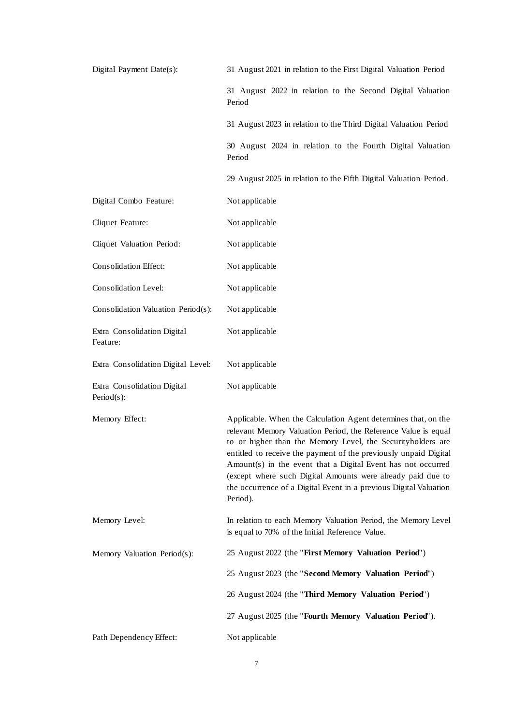| Digital Payment Date(s):                      | 31 August 2021 in relation to the First Digital Valuation Period                                                                                                                                                                                                                                                                                                                                                                                                                    |
|-----------------------------------------------|-------------------------------------------------------------------------------------------------------------------------------------------------------------------------------------------------------------------------------------------------------------------------------------------------------------------------------------------------------------------------------------------------------------------------------------------------------------------------------------|
|                                               | 31 August 2022 in relation to the Second Digital Valuation<br>Period                                                                                                                                                                                                                                                                                                                                                                                                                |
|                                               | 31 August 2023 in relation to the Third Digital Valuation Period                                                                                                                                                                                                                                                                                                                                                                                                                    |
|                                               | 30 August 2024 in relation to the Fourth Digital Valuation<br>Period                                                                                                                                                                                                                                                                                                                                                                                                                |
|                                               | 29 August 2025 in relation to the Fifth Digital Valuation Period.                                                                                                                                                                                                                                                                                                                                                                                                                   |
| Digital Combo Feature:                        | Not applicable                                                                                                                                                                                                                                                                                                                                                                                                                                                                      |
| Cliquet Feature:                              | Not applicable                                                                                                                                                                                                                                                                                                                                                                                                                                                                      |
| Cliquet Valuation Period:                     | Not applicable                                                                                                                                                                                                                                                                                                                                                                                                                                                                      |
| Consolidation Effect:                         | Not applicable                                                                                                                                                                                                                                                                                                                                                                                                                                                                      |
| Consolidation Level:                          | Not applicable                                                                                                                                                                                                                                                                                                                                                                                                                                                                      |
| Consolidation Valuation Period(s):            | Not applicable                                                                                                                                                                                                                                                                                                                                                                                                                                                                      |
| Extra Consolidation Digital<br>Feature:       | Not applicable                                                                                                                                                                                                                                                                                                                                                                                                                                                                      |
| Extra Consolidation Digital Level:            | Not applicable                                                                                                                                                                                                                                                                                                                                                                                                                                                                      |
| Extra Consolidation Digital<br>Period $(s)$ : | Not applicable                                                                                                                                                                                                                                                                                                                                                                                                                                                                      |
| Memory Effect:                                | Applicable. When the Calculation Agent determines that, on the<br>relevant Memory Valuation Period, the Reference Value is equal<br>to or higher than the Memory Level, the Securityholders are<br>entitled to receive the payment of the previously unpaid Digital<br>Amount(s) in the event that a Digital Event has not occurred<br>(except where such Digital Amounts were already paid due to<br>the occurrence of a Digital Event in a previous Digital Valuation<br>Period). |
| Memory Level:                                 | In relation to each Memory Valuation Period, the Memory Level<br>is equal to 70% of the Initial Reference Value.                                                                                                                                                                                                                                                                                                                                                                    |
| Memory Valuation Period(s):                   | 25 August 2022 (the "First Memory Valuation Period")                                                                                                                                                                                                                                                                                                                                                                                                                                |
|                                               | 25 August 2023 (the "Second Memory Valuation Period")                                                                                                                                                                                                                                                                                                                                                                                                                               |
|                                               | 26 August 2024 (the "Third Memory Valuation Period")                                                                                                                                                                                                                                                                                                                                                                                                                                |
|                                               |                                                                                                                                                                                                                                                                                                                                                                                                                                                                                     |
|                                               | 27 August 2025 (the "Fourth Memory Valuation Period").                                                                                                                                                                                                                                                                                                                                                                                                                              |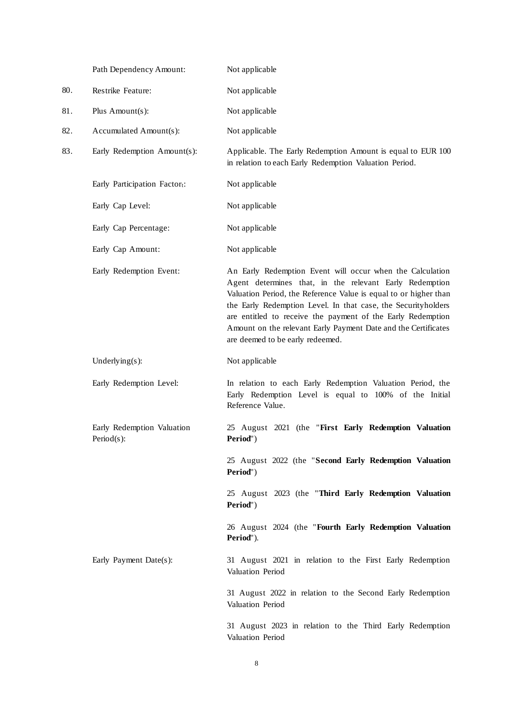|     | Path Dependency Amount:                     | Not applicable                                                                                                                                                                                                                                                                                                                                                                                                                 |
|-----|---------------------------------------------|--------------------------------------------------------------------------------------------------------------------------------------------------------------------------------------------------------------------------------------------------------------------------------------------------------------------------------------------------------------------------------------------------------------------------------|
| 80. | Restrike Feature:                           | Not applicable                                                                                                                                                                                                                                                                                                                                                                                                                 |
| 81. | Plus Amount(s):                             | Not applicable                                                                                                                                                                                                                                                                                                                                                                                                                 |
| 82. | Accumulated Amount(s):                      | Not applicable                                                                                                                                                                                                                                                                                                                                                                                                                 |
| 83. | Early Redemption Amount(s):                 | Applicable. The Early Redemption Amount is equal to EUR 100<br>in relation to each Early Redemption Valuation Period.                                                                                                                                                                                                                                                                                                          |
|     | Early Participation Factort:                | Not applicable                                                                                                                                                                                                                                                                                                                                                                                                                 |
|     | Early Cap Level:                            | Not applicable                                                                                                                                                                                                                                                                                                                                                                                                                 |
|     | Early Cap Percentage:                       | Not applicable                                                                                                                                                                                                                                                                                                                                                                                                                 |
|     | Early Cap Amount:                           | Not applicable                                                                                                                                                                                                                                                                                                                                                                                                                 |
|     | Early Redemption Event:                     | An Early Redemption Event will occur when the Calculation<br>Agent determines that, in the relevant Early Redemption<br>Valuation Period, the Reference Value is equal to or higher than<br>the Early Redemption Level. In that case, the Securityholders<br>are entitled to receive the payment of the Early Redemption<br>Amount on the relevant Early Payment Date and the Certificates<br>are deemed to be early redeemed. |
|     | Underlying $(s)$ :                          | Not applicable                                                                                                                                                                                                                                                                                                                                                                                                                 |
|     | Early Redemption Level:                     | In relation to each Early Redemption Valuation Period, the<br>Early Redemption Level is equal to 100% of the Initial<br>Reference Value.                                                                                                                                                                                                                                                                                       |
|     | Early Redemption Valuation<br>$Period(s)$ : | 25 August 2021 (the "First Early Redemption Valuation<br>Period")                                                                                                                                                                                                                                                                                                                                                              |
|     |                                             | 25 August 2022 (the "Second Early Redemption Valuation<br>Period")                                                                                                                                                                                                                                                                                                                                                             |
|     |                                             | 25 August 2023 (the "Third Early Redemption Valuation<br>Period")                                                                                                                                                                                                                                                                                                                                                              |
|     |                                             | 26 August 2024 (the "Fourth Early Redemption Valuation<br>Period").                                                                                                                                                                                                                                                                                                                                                            |
|     | Early Payment Date(s):                      | 31 August 2021 in relation to the First Early Redemption<br>Valuation Period                                                                                                                                                                                                                                                                                                                                                   |
|     |                                             | 31 August 2022 in relation to the Second Early Redemption<br>Valuation Period                                                                                                                                                                                                                                                                                                                                                  |
|     |                                             | 31 August 2023 in relation to the Third Early Redemption<br>Valuation Period                                                                                                                                                                                                                                                                                                                                                   |
|     |                                             |                                                                                                                                                                                                                                                                                                                                                                                                                                |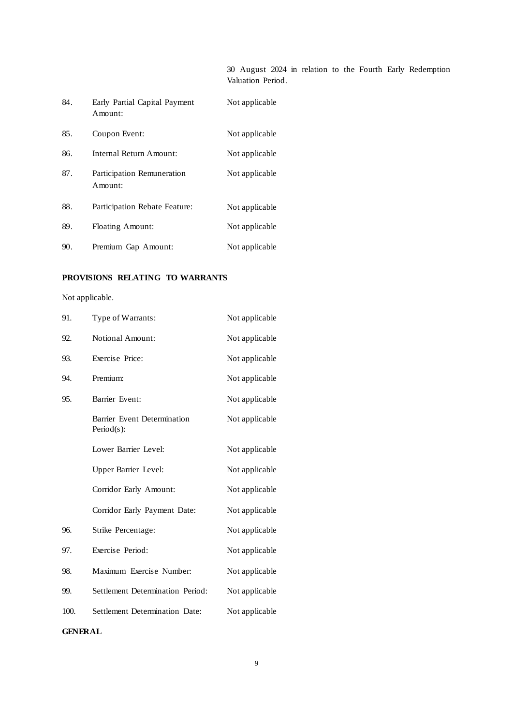30 August 2024 in relation to the Fourth Early Redemption Valuation Period.

| 84. | Early Partial Capital Payment<br>Amount: | Not applicable |
|-----|------------------------------------------|----------------|
| 85. | Coupon Event:                            | Not applicable |
| 86. | Internal Return Amount:                  | Not applicable |
| 87. | Participation Remuneration<br>Amount:    | Not applicable |
| 88. | Participation Rebate Feature:            | Not applicable |
| 89. | Floating Amount:                         | Not applicable |
| 90. | Premium Gap Amount:                      | Not applicable |

# **PROVISIONS RELATING TO WARRANTS**

Not applicable.

| 91.  | Type of Warrants:                            | Not applicable |
|------|----------------------------------------------|----------------|
| 92.  | <b>Notional Amount:</b>                      | Not applicable |
| 93.  | Exercise Price:                              | Not applicable |
| 94.  | Premium:                                     | Not applicable |
| 95.  | Barrier Event:                               | Not applicable |
|      | Barrier Event Determination<br>$Period(s)$ : | Not applicable |
|      | Lower Barrier Level:                         | Not applicable |
|      | Upper Barrier Level:                         | Not applicable |
|      | Corridor Early Amount:                       | Not applicable |
|      | Corridor Early Payment Date:                 | Not applicable |
| 96.  | Strike Percentage:                           | Not applicable |
| 97.  | Exercise Period:                             | Not applicable |
| 98.  | Maximum Exercise Number:                     | Not applicable |
| 99.  | Settlement Determination Period:             | Not applicable |
| 100. | Settlement Determination Date:               | Not applicable |
|      |                                              |                |

# **GENERAL**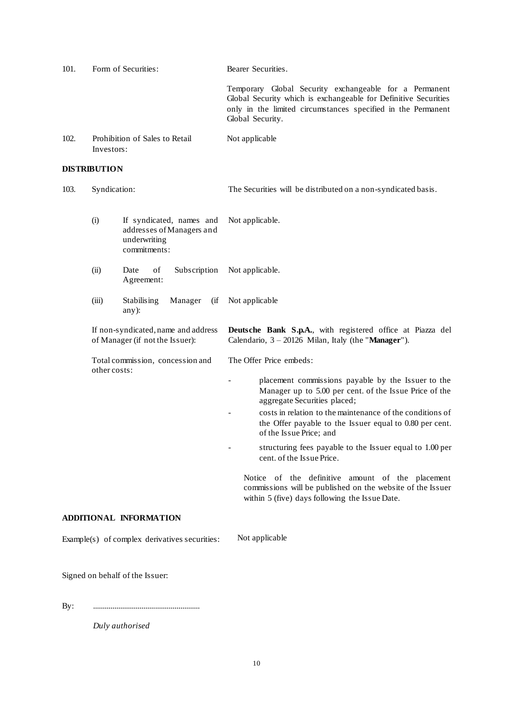| 101. | Form of Securities:                          | Bearer Securities.                                                                                                                                                                                            |
|------|----------------------------------------------|---------------------------------------------------------------------------------------------------------------------------------------------------------------------------------------------------------------|
|      |                                              | Temporary Global Security exchangeable for a Permanent<br>Global Security which is exchangeable for Definitive Securities<br>only in the limited circumstances specified in the Permanent<br>Global Security. |
| 102. | Prohibition of Sales to Retail<br>Investors: | Not applicable                                                                                                                                                                                                |

# **DISTRIBUTION**

103. Syndication: The Securities will be distributed on a non-syndicated basis.

| (i)                                              | If syndicated, names and Not applicable.<br>addresses of Managers and<br>underwriting<br>commitments: |                                                                                                                                                                                                                                                                                                 |
|--------------------------------------------------|-------------------------------------------------------------------------------------------------------|-------------------------------------------------------------------------------------------------------------------------------------------------------------------------------------------------------------------------------------------------------------------------------------------------|
| (ii)                                             | Subscription<br>οf<br>Date<br>Agreement:                                                              | Not applicable.                                                                                                                                                                                                                                                                                 |
| (iii)                                            | <b>Stabilising</b><br>Manager (if Not applicable<br>$any)$ :                                          |                                                                                                                                                                                                                                                                                                 |
|                                                  | If non-syndicated, name and address<br>of Manager (if not the Issuer):                                | <b>Deutsche Bank S.p.A.</b> , with registered office at Piazza del<br>Calendario, $3 - 20126$ Milan, Italy (the "Manager").                                                                                                                                                                     |
| Total commission, concession and<br>other costs: |                                                                                                       | The Offer Price embeds:<br>placement commissions payable by the Issuer to the<br>Manager up to 5.00 per cent. of the Issue Price of the<br>aggregate Securities placed;<br>costs in relation to the maintenance of the conditions of<br>the Offer payable to the Issuer equal to 0.80 per cent. |

of the Issue Price; and - structuring fees payable to the Issuer equal to 1.00 per

cent. of the Issue Price.

Notice of the definitive amount of the placement commissions will be published on the website of the Issuer within 5 (five) days following the Issue Date.

# **ADDITIONAL INFORMATION**

Example(s) of complex derivatives securities: Not applicable

Signed on behalf of the Issuer:

By: .......................................................

*Duly authorised*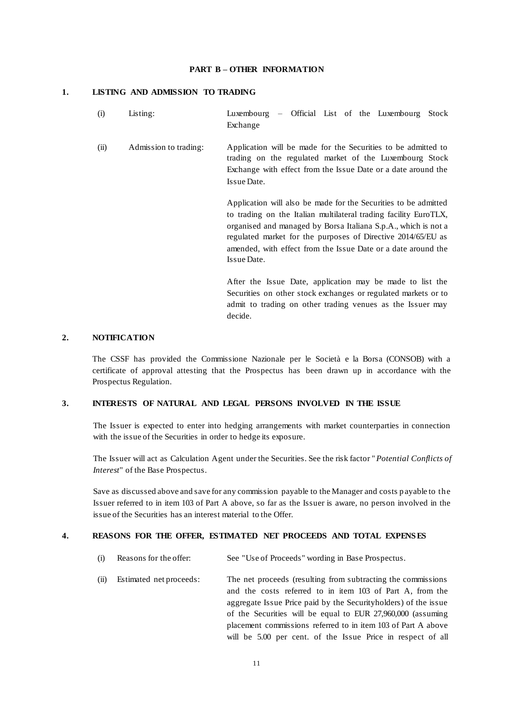#### **PART B – OTHER INFORMATION**

#### **1. LISTING AND ADMISSION TO TRADING**

| (i) | Listing: | Luxembourg – Official List of the Luxembourg Stock |  |  |  |  |
|-----|----------|----------------------------------------------------|--|--|--|--|
|     |          | Exchange                                           |  |  |  |  |

(ii) Admission to trading: Application will be made for the Securities to be admitted to trading on the regulated market of the Luxembourg Stock Exchange with effect from the Issue Date or a date around the Issue Date.

> Application will also be made for the Securities to be admitted to trading on the Italian multilateral trading facility EuroTLX, organised and managed by Borsa Italiana S.p.A., which is not a regulated market for the purposes of Directive 2014/65/EU as amended, with effect from the Issue Date or a date around the Issue Date.

> After the Issue Date, application may be made to list the Securities on other stock exchanges or regulated markets or to admit to trading on other trading venues as the Issuer may decide.

# **2. NOTIFICATION**

The CSSF has provided the Commissione Nazionale per le Società e la Borsa (CONSOB) with a certificate of approval attesting that the Prospectus has been drawn up in accordance with the Prospectus Regulation.

#### **3. INTERESTS OF NATURAL AND LEGAL PERSONS INVOLVED IN THE ISSUE**

The Issuer is expected to enter into hedging arrangements with market counterparties in connection with the issue of the Securities in order to hedge its exposure.

The Issuer will act as Calculation Agent under the Securities. See the risk factor "*Potential Conflicts of Interest*" of the Base Prospectus.

Save as discussed above and save for any commission payable to the Manager and costs p ayable to the Issuer referred to in item 103 of Part A above, so far as the Issuer is aware, no person involved in the issue of the Securities has an interest material to the Offer.

#### **4. REASONS FOR THE OFFER, ESTIMATED NET PROCEEDS AND TOTAL EXPENS ES**

- (i) Reasons for the offer: See "Use of Proceeds" wording in Base Prospectus.
- (ii) Estimated net proceeds: The net proceeds (resulting from subtracting the commissions and the costs referred to in item 103 of Part A, from the aggregate Issue Price paid by the Securityholders) of the issue of the Securities will be equal to EUR 27,960,000 (assuming placement commissions referred to in item 103 of Part A above will be 5.00 per cent. of the Issue Price in respect of all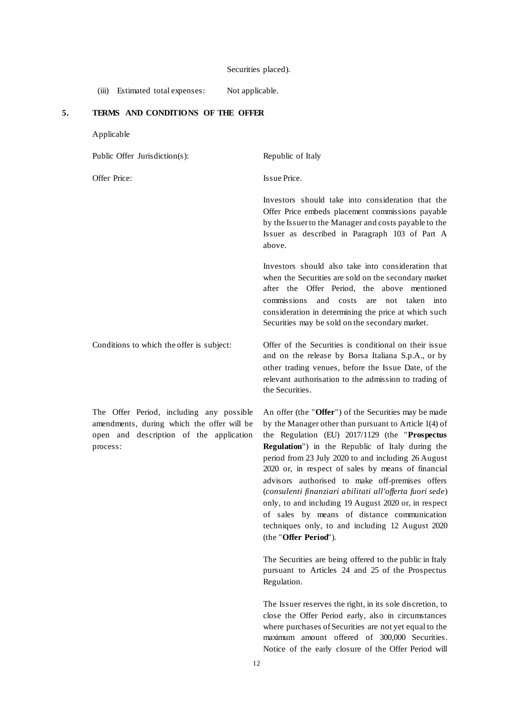Securities placed).

(iii) Estimated total expenses: Not applicable.

# **5. TERMS AND CONDITIONS OF THE OFFER**

| Applicable                                                                                                                                    |                                                                                                                                                                                                                                                                                                                                                                                                                                                                                                                                                                                                                                     |
|-----------------------------------------------------------------------------------------------------------------------------------------------|-------------------------------------------------------------------------------------------------------------------------------------------------------------------------------------------------------------------------------------------------------------------------------------------------------------------------------------------------------------------------------------------------------------------------------------------------------------------------------------------------------------------------------------------------------------------------------------------------------------------------------------|
| Public Offer Jurisdiction(s):                                                                                                                 | Republic of Italy                                                                                                                                                                                                                                                                                                                                                                                                                                                                                                                                                                                                                   |
| Offer Price:                                                                                                                                  | Is sue Price.                                                                                                                                                                                                                                                                                                                                                                                                                                                                                                                                                                                                                       |
|                                                                                                                                               | Investors should take into consideration that the<br>Offer Price embeds placement commissions payable<br>by the Issuer to the Manager and costs payable to the<br>Issuer as described in Paragraph 103 of Part A<br>above.                                                                                                                                                                                                                                                                                                                                                                                                          |
|                                                                                                                                               | Investors should also take into consideration that<br>when the Securities are sold on the secondary market<br>after the Offer Period, the above mentioned<br>commissions<br>and costs<br>not<br>taken into<br>are<br>consideration in determining the price at which such<br>Securities may be sold on the secondary market.                                                                                                                                                                                                                                                                                                        |
| Conditions to which the offer is subject:                                                                                                     | Offer of the Securities is conditional on their issue<br>and on the release by Borsa Italiana S.p.A., or by<br>other trading venues, before the Issue Date, of the<br>relevant authorisation to the admission to trading of<br>the Securities.                                                                                                                                                                                                                                                                                                                                                                                      |
| The Offer Period, including any possible<br>amendments, during which the offer will be<br>open and description of the application<br>process: | An offer (the "Offer") of the Securities may be made<br>by the Manager other than pursuant to Article 1(4) of<br>the Regulation (EU) 2017/1129 (the "Prospectus<br>Regulation") in the Republic of Italy during the<br>period from 23 July 2020 to and including 26 August<br>2020 or, in respect of sales by means of financial<br>advisors authorised to make off-premises offers<br>(consulenti finanziari abilitati all'offerta fuori sede)<br>only, to and including 19 August 2020 or, in respect<br>of sales by means of distance communication<br>techniques only, to and including 12 August 2020<br>(the "Offer Period"). |
|                                                                                                                                               | The Securities are being offered to the public in Italy<br>pursuant to Articles 24 and 25 of the Prospectus<br>Regulation.                                                                                                                                                                                                                                                                                                                                                                                                                                                                                                          |
|                                                                                                                                               | The Issuer reserves the right, in its sole discretion, to<br>close the Offer Period early, also in circumstances<br>where purchases of Securities are not yet equal to the                                                                                                                                                                                                                                                                                                                                                                                                                                                          |

maximum amount offered of 300,000 Securities. Notice of the early closure of the Offer Period will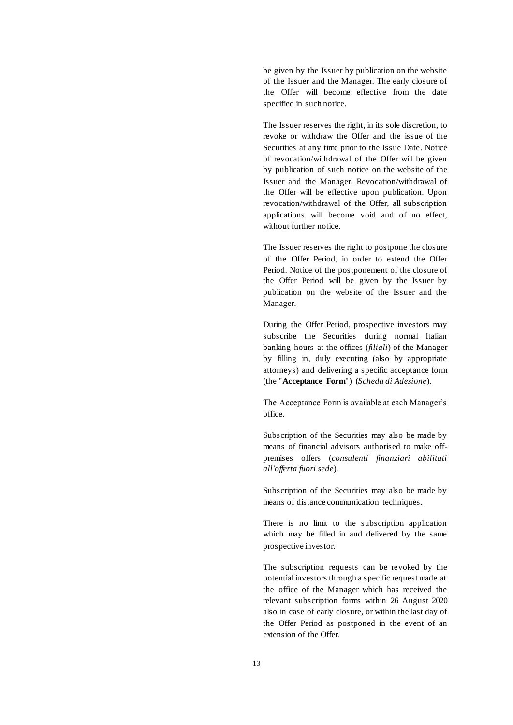be given by the Issuer by publication on the website of the Issuer and the Manager. The early closure of the Offer will become effective from the date specified in such notice.

The Issuer reserves the right, in its sole discretion, to revoke or withdraw the Offer and the issue of the Securities at any time prior to the Issue Date. Notice of revocation/withdrawal of the Offer will be given by publication of such notice on the website of the Issuer and the Manager. Revocation/withdrawal of the Offer will be effective upon publication. Upon revocation/withdrawal of the Offer, all subscription applications will become void and of no effect, without further notice.

The Issuer reserves the right to postpone the closure of the Offer Period, in order to extend the Offer Period. Notice of the postponement of the closure of the Offer Period will be given by the Issuer by publication on the website of the Issuer and the Manager.

During the Offer Period, prospective investors may subscribe the Securities during normal Italian banking hours at the offices (*filiali*) of the Manager by filling in, duly executing (also by appropriate attorneys) and delivering a specific acceptance form (the "**Acceptance Form**") (*Scheda di Adesione*).

The Acceptance Form is available at each Manager's office.

Subscription of the Securities may also be made by means of financial advisors authorised to make offpremises offers (*consulenti finanziari abilitati all'offerta fuori sede*).

Subscription of the Securities may also be made by means of distance communication techniques.

There is no limit to the subscription application which may be filled in and delivered by the same prospective investor.

The subscription requests can be revoked by the potential investors through a specific request made at the office of the Manager which has received the relevant subscription forms within 26 August 2020 also in case of early closure, or within the last day of the Offer Period as postponed in the event of an extension of the Offer.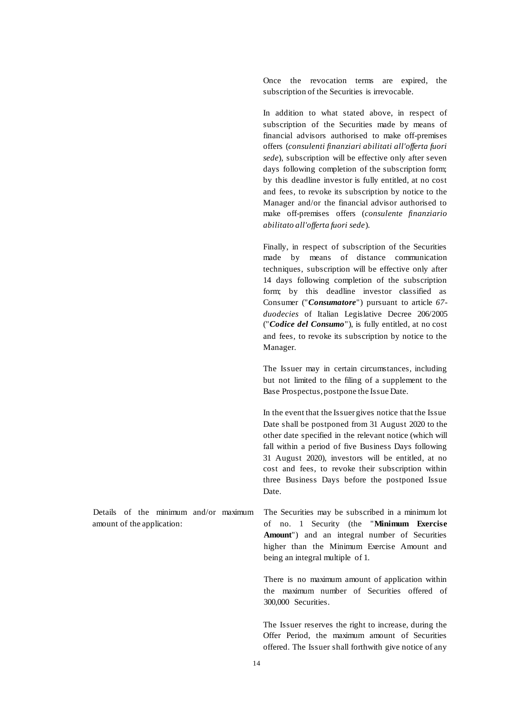Once the revocation terms are expired, the subscription of the Securities is irrevocable.

In addition to what stated above, in respect of subscription of the Securities made by means of financial advisors authorised to make off-premises offers (*consulenti finanziari abilitati all'offerta fuori sede*), subscription will be effective only after seven days following completion of the subscription form; by this deadline investor is fully entitled, at no cost and fees, to revoke its subscription by notice to the Manager and/or the financial advisor authorised to make off-premises offers (*consulente finanziario abilitato all'offerta fuori sede*).

Finally, in respect of subscription of the Securities made by means of distance communication techniques, subscription will be effective only after 14 days following completion of the subscription form; by this deadline investor classified as Consumer ("*Consumatore*") pursuant to article *67 duodecies* of Italian Legislative Decree 206/2005 ("*Codice del Consumo*"), is fully entitled, at no cost and fees, to revoke its subscription by notice to the Manager.

The Issuer may in certain circumstances, including but not limited to the filing of a supplement to the Base Prospectus, postpone the Issue Date.

In the event that the Issuer gives notice that the Issue Date shall be postponed from 31 August 2020 to the other date specified in the relevant notice (which will fall within a period of five Business Days following 31 August 2020), investors will be entitled, at no cost and fees, to revoke their subscription within three Business Days before the postponed Issue Date.

Details of the minimum and/or maximum amount of the application: The Securities may be subscribed in a minimum lot of no. 1 Security (the "**Minimum Exercise Amount**") and an integral number of Securities higher than the Minimum Exercise Amount and

> There is no maximum amount of application within the maximum number of Securities offered of 300,000 Securities.

being an integral multiple of 1.

The Issuer reserves the right to increase, during the Offer Period, the maximum amount of Securities offered. The Issuer shall forthwith give notice of any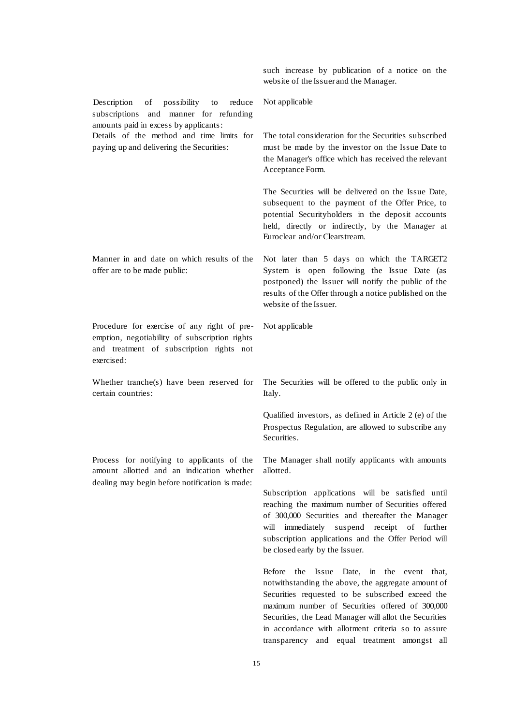| Description<br>of possibility to<br>reduce<br>subscriptions<br>and manner for refunding                                                                | Not applicable                                                                                                                                                                                                                                                                                                                                                                   |
|--------------------------------------------------------------------------------------------------------------------------------------------------------|----------------------------------------------------------------------------------------------------------------------------------------------------------------------------------------------------------------------------------------------------------------------------------------------------------------------------------------------------------------------------------|
| amounts paid in excess by applicants:<br>Details of the method and time limits for<br>paying up and delivering the Securities:                         | The total consideration for the Securities subscribed<br>must be made by the investor on the Issue Date to<br>the Manager's office which has received the relevant<br>Acceptance Form.                                                                                                                                                                                           |
|                                                                                                                                                        | The Securities will be delivered on the Issue Date,<br>subsequent to the payment of the Offer Price, to<br>potential Securityholders in the deposit accounts<br>held, directly or indirectly, by the Manager at<br>Euroclear and/or Clearstream.                                                                                                                                 |
| Manner in and date on which results of the<br>offer are to be made public:                                                                             | Not later than 5 days on which the TARGET2<br>System is open following the Issue Date (as<br>postponed) the Issuer will notify the public of the<br>results of the Offer through a notice published on the<br>website of the Issuer.                                                                                                                                             |
| Procedure for exercise of any right of pre-<br>emption, negotiability of subscription rights<br>and treatment of subscription rights not<br>exercised: | Not applicable                                                                                                                                                                                                                                                                                                                                                                   |
| Whether tranche(s) have been reserved for<br>certain countries:                                                                                        | The Securities will be offered to the public only in<br>Italy.                                                                                                                                                                                                                                                                                                                   |
|                                                                                                                                                        | Qualified investors, as defined in Article 2 (e) of the<br>Prospectus Regulation, are allowed to subscribe any<br>Securities.                                                                                                                                                                                                                                                    |
| Process for notifying to applicants of the<br>amount allotted and an indication whether                                                                | The Manager shall notify applicants with amounts<br>allotted.                                                                                                                                                                                                                                                                                                                    |
| dealing may begin before notification is made:                                                                                                         | Subscription applications will be satisfied until<br>reaching the maximum number of Securities offered<br>of 300,000 Securities and thereafter the Manager<br>will immediately suspend receipt of further<br>subscription applications and the Offer Period will<br>be closed early by the Issuer.                                                                               |
|                                                                                                                                                        | <b>Before</b><br>the Issue Date, in the event that,<br>notwithstanding the above, the aggregate amount of<br>Securities requested to be subscribed exceed the<br>maximum number of Securities offered of 300,000<br>Securities, the Lead Manager will allot the Securities<br>in accordance with allotment criteria so to assure<br>transparency and equal treatment amongst all |

such increase by publication of a notice on the

website of the Issuer and the Manager.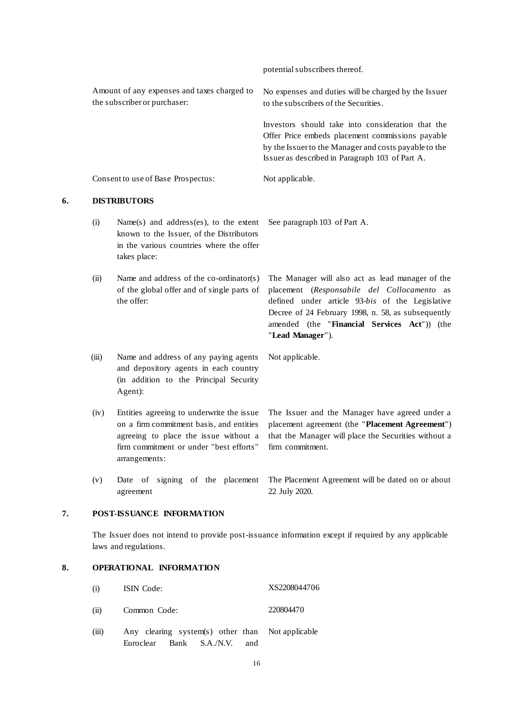|    |       |                                                                                                                                                                                            | potential subscribers thereof.                                                                                                                                                                                                                                               |  |  |
|----|-------|--------------------------------------------------------------------------------------------------------------------------------------------------------------------------------------------|------------------------------------------------------------------------------------------------------------------------------------------------------------------------------------------------------------------------------------------------------------------------------|--|--|
|    |       | Amount of any expenses and taxes charged to<br>the subscriber or purchaser:                                                                                                                | No expenses and duties will be charged by the Issuer<br>to the subscribers of the Securities.                                                                                                                                                                                |  |  |
|    |       |                                                                                                                                                                                            | Investors should take into consideration that the<br>Offer Price embeds placement commissions payable<br>by the Issuer to the Manager and costs payable to the<br>Issuer as described in Paragraph 103 of Part A.                                                            |  |  |
|    |       | Consent to use of Base Prospectus:                                                                                                                                                         | Not applicable.                                                                                                                                                                                                                                                              |  |  |
| 6. |       | <b>DISTRIBUTORS</b>                                                                                                                                                                        |                                                                                                                                                                                                                                                                              |  |  |
|    | (i)   | Name(s) and address(es), to the extent<br>known to the Issuer, of the Distributors<br>in the various countries where the offer<br>takes place:                                             | See paragraph 103 of Part A.                                                                                                                                                                                                                                                 |  |  |
|    | (ii)  | Name and address of the co-ordinator(s)<br>of the global offer and of single parts of<br>the offer:                                                                                        | The Manager will also act as lead manager of the<br>placement (Responsabile del Collocamento as<br>defined under article 93-bis of the Legislative<br>Decree of 24 February 1998, n. 58, as subsequently<br>amended (the "Financial Services Act")) (the<br>"Lead Manager"). |  |  |
|    | (iii) | Name and address of any paying agents<br>and depository agents in each country<br>(in addition to the Principal Security<br>Agent):                                                        | Not applicable.                                                                                                                                                                                                                                                              |  |  |
|    | (iv)  | Entities agreeing to underwrite the issue<br>on a firm commitment basis, and entities<br>agreeing to place the issue without a<br>firm commitment or under "best efforts"<br>arrangements: | The Issuer and the Manager have agreed under a<br>placement agreement (the "Placement Agreement")<br>that the Manager will place the Securities without a<br>firm commitment.                                                                                                |  |  |
|    | (v)   | Date of signing of the placement<br>agreement                                                                                                                                              | The Placement Agreement will be dated on or about<br>22 July 2020.                                                                                                                                                                                                           |  |  |

# **7. POST-ISSUANCE INFORMATION**

The Issuer does not intend to provide post-issuance information except if required by any applicable laws and regulations.

# **8. OPERATIONAL INFORMATION**

| (i)   | ISIN Code:                                                                          | XS2208044706 |
|-------|-------------------------------------------------------------------------------------|--------------|
| (ii)  | Common Code:                                                                        | 220804470    |
| (iii) | Any clearing system(s) other than Not applicable<br>Euroclear Bank S.A./N.V.<br>and |              |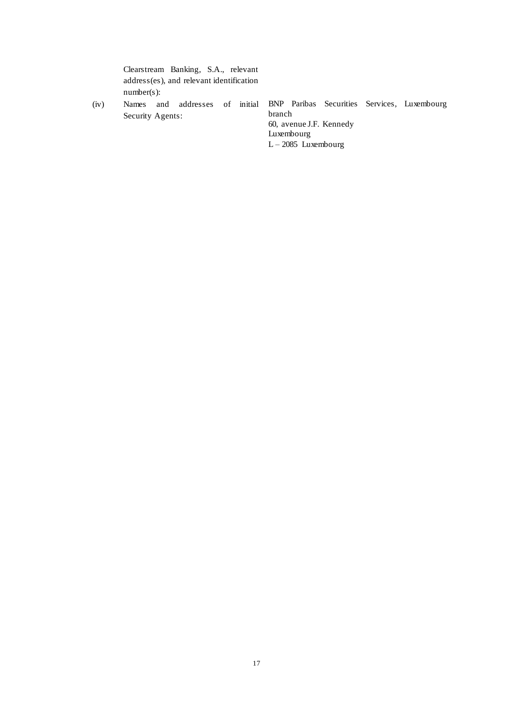Clearstream Banking, S.A., relevant address(es), and relevant identification number(s):

Security Agents:

(iv) Names and addresses of initial BNP Paribas Securities Services, Luxembourg branch 60, avenue J.F. Kennedy Luxembourg L – 2085 Luxembourg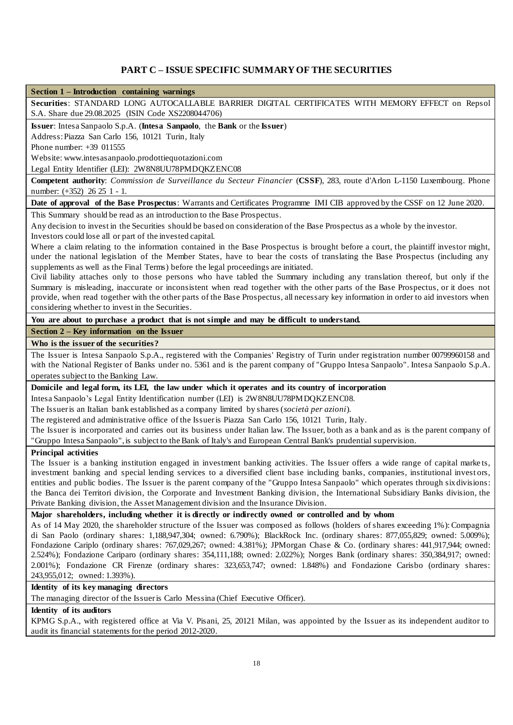# **PART C – ISSUE SPECIFIC SUMMARY OF THE SECURITIES**

**Section 1 – Introduction containing warnings Securities**: STANDARD LONG AUTOCALLABLE BARRIER DIGITAL CERTIFICATES WITH MEMORY EFFECT on Repsol S.A. Share due 29.08.2025 (ISIN Code XS2208044706)

**Issuer**: Intesa Sanpaolo S.p.A. (**Intesa Sanpaolo**, the **Bank** or the **Issuer**)

Address: Piazza San Carlo 156, 10121 Turin, Italy

Phone number: +39 011555

Website: www.intesasanpaolo.prodottiequotazioni.com

Legal Entity Identifier (LEI): 2W8N8UU78PMDQKZENC08

**Competent authority**: *Commission de Surveillance du Secteur Financier* (**CSSF**), 283, route d'Arlon L-1150 Luxembourg. Phone number: (+352) 26 25 1 - 1

**Date of approval of the Base Prospectus**: Warrants and Certificates Programme IMI CIB approved by the CSSF on 12 June 2020.

This Summary should be read as an introduction to the Base Prospectus.

Any decision to invest in the Securities should be based on consideration of the Base Prospectus as a whole by the investor. Investors could lose all or part of the invested capital.

Where a claim relating to the information contained in the Base Prospectus is brought before a court, the plaintiff investor might, under the national legislation of the Member States, have to bear the costs of translating the Base Prospectus (including any supplements as well as the Final Terms) before the legal proceedings are initiated.

Civil liability attaches only to those persons who have tabled the Summary including any translation thereof, but only if the Summary is misleading, inaccurate or inconsistent when read together with the other parts of the Base Prospectus, or it does not provide, when read together with the other parts of the Base Prospectus, all necessary key information in order to aid investors when considering whether to invest in the Securities.

#### **You are about to purchase a product that is not simple and may be difficult to understand.**

# **Section 2 – Key information on the Issuer**

**Who is the issuer of the securities?**

The Issuer is Intesa Sanpaolo S.p.A., registered with the Companies' Registry of Turin under registration number 00799960158 and with the National Register of Banks under no. 5361 and is the parent company of "Gruppo Intesa Sanpaolo". Intesa Sanpaolo S.p.A. operates subject to the Banking Law.

#### **Domicile and legal form, its LEI, the law under which it operates and its country of incorporation**

Intesa Sanpaolo's Legal Entity Identification number (LEI) is 2W8N8UU78PMDQKZENC08.

The Issuer is an Italian bank established as a company limited by shares (*società per azioni*).

The registered and administrative office of the Issuer is Piazza San Carlo 156, 10121 Turin, Italy.

The Issuer is incorporated and carries out its business under Italian law. The Issuer, both as a bank and as is the parent company of "Gruppo Intesa Sanpaolo", is subject to the Bank of Italy's and European Central Bank's prudential supervision.

# **Principal activities**

The Issuer is a banking institution engaged in investment banking activities. The Issuer offers a wide range of capital marke ts, investment banking and special lending services to a diversified client base including banks, companies, institutional invest ors, entities and public bodies. The Issuer is the parent company of the "Gruppo Intesa Sanpaolo" which operates through six divisions: the Banca dei Territori division, the Corporate and Investment Banking division, the International Subsidiary Banks division, the Private Banking division, the Asset Management division and the Insurance Division.

# **Major shareholders, including whether it is directly or indirectly owned or controlled and by whom**

As of 14 May 2020, the shareholder structure of the Issuer was composed as follows (holders of shares exceeding 1%): Compagnia di San Paolo (ordinary shares: 1,188,947,304; owned: 6.790%); BlackRock Inc. (ordinary shares: 877,055,829; owned: 5.009%); Fondazione Cariplo (ordinary shares: 767,029,267; owned: 4.381%); JPMorgan Chase & Co. (ordinary shares: 441,917,944; owned: 2.524%); Fondazione Cariparo (ordinary shares: 354,111,188; owned: 2.022%); Norges Bank (ordinary shares: 350,384,917; owned: 2.001%); Fondazione CR Firenze (ordinary shares: 323,653,747; owned: 1.848%) and Fondazione Carisbo (ordinary shares: 243,955,012; owned: 1.393%).

#### **Identity of its key managing directors**

The managing director of the Issuer is Carlo Messina (Chief Executive Officer).

#### **Identity of its auditors**

KPMG S.p.A., with registered office at Via V. Pisani, 25, 20121 Milan, was appointed by the Issuer as its independent auditor to audit its financial statements for the period 2012-2020.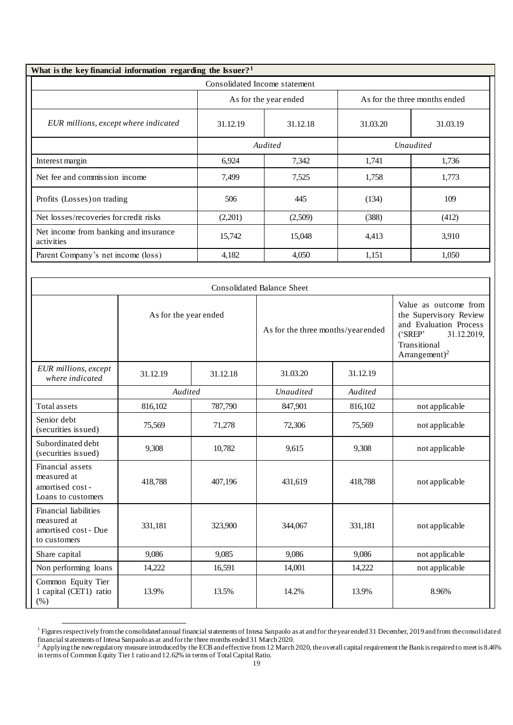| What is the key financial information regarding the Issuer? <sup>1</sup> |                               |          |          |                               |
|--------------------------------------------------------------------------|-------------------------------|----------|----------|-------------------------------|
|                                                                          | Consolidated Income statement |          |          |                               |
|                                                                          | As for the year ended         |          |          | As for the three months ended |
| EUR millions, except where indicated                                     | 31.12.19                      | 31.12.18 | 31.03.20 | 31.03.19                      |
|                                                                          | Audited                       |          |          | <b>Unaudited</b>              |
| Interest margin                                                          | 6,924                         | 7,342    | 1,741    | 1,736                         |
| Net fee and commission income                                            | 7,499                         | 7,525    | 1,758    | 1,773                         |
| Profits (Losses) on trading                                              | 506                           | 445      | (134)    | 109                           |
| Net losses/recoveries for credit risks                                   | (2,201)                       | (2,509)  | (388)    | (412)                         |
| Net income from banking and insurance<br>activities                      | 15,742                        | 15,048   | 4,413    | 3,910                         |
| Parent Company's net income (loss)                                       | 4,182                         | 4,050    | 1,151    | 1,050                         |

|                                                                                     | <b>Consolidated Balance Sheet</b> |          |                                    |          |                                                                                                                                                  |  |  |
|-------------------------------------------------------------------------------------|-----------------------------------|----------|------------------------------------|----------|--------------------------------------------------------------------------------------------------------------------------------------------------|--|--|
|                                                                                     | As for the year ended             |          | As for the three months/year ended |          | Value as outcome from<br>the Supervisory Review<br>and Evaluation Process<br>('SREP'<br>31.12.2019,<br>Transitional<br>Arrangement) <sup>2</sup> |  |  |
| EUR millions, except<br>where indicated                                             | 31.12.19                          | 31.12.18 | 31.03.20                           | 31.12.19 |                                                                                                                                                  |  |  |
|                                                                                     | Audited                           |          | <b>Unaudited</b>                   | Audited  |                                                                                                                                                  |  |  |
| Total assets                                                                        | 816,102                           | 787,790  | 847,901                            | 816,102  | not applicable                                                                                                                                   |  |  |
| Senior debt<br>(securities issued)                                                  | 75,569                            | 71,278   | 72,306                             | 75,569   | not applicable                                                                                                                                   |  |  |
| Subordinated debt<br>(securities issued)                                            | 9,308                             | 10,782   | 9,615                              | 9,308    | not applicable                                                                                                                                   |  |  |
| Financial assets<br>measured at<br>amortised cost-<br>Loans to customers            | 418,788                           | 407,196  | 431,619                            | 418,788  | not applicable                                                                                                                                   |  |  |
| <b>Financial liabilities</b><br>measured at<br>amortised cost - Due<br>to customers | 331,181                           | 323,900  | 344,067                            | 331,181  | not applicable                                                                                                                                   |  |  |
| Share capital                                                                       | 9,086                             | 9,085    | 9,086                              | 9,086    | not applicable                                                                                                                                   |  |  |
| Non performing loans                                                                | 14,222                            | 16,591   | 14,001                             | 14,222   | not applicable                                                                                                                                   |  |  |
| Common Equity Tier<br>1 capital (CET1) ratio<br>(% )                                | 13.9%                             | 13.5%    | 14.2%                              | 13.9%    | 8.96%                                                                                                                                            |  |  |

<sup>&</sup>lt;sup>1</sup> Figures respectively from the consolidated annual financial statements of Intesa Sanpaolo as at and for the year ended 31 December, 2019 and from the consolidated financial statements of Intesa Sanpaolo as at and for the three months ended 31 March 2020.<br><sup>2</sup> Applying the new regulatory measure introduced by the ECB and effective from 12 March 2020, the overall capital requirement th

in terms of Common Equity Tier 1 ratio and 12.62% in terms of Total Capital Ratio.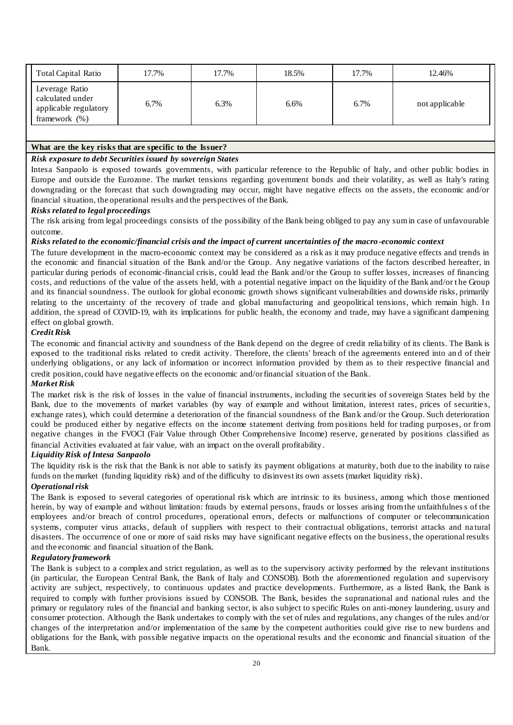| <b>Total Capital Ratio</b>                                                   | 17.7% | 17.7% | 18.5% | 17.7% | 12.46%         |
|------------------------------------------------------------------------------|-------|-------|-------|-------|----------------|
| Leverage Ratio<br>calculated under<br>applicable regulatory<br>framework (%) | 6.7%  | 6.3%  | 6.6%  | 6.7%  | not applicable |

# **What are the key risks that are specific to the Issuer?**

## *Risk exposure to debt Securities issued by sovereign States*

Intesa Sanpaolo is exposed towards governments, with particular reference to the Republic of Italy, and other public bodies in Europe and outside the Eurozone. The market tensions regarding government bonds and their volatility, as well as Italy's rating downgrading or the forecast that such downgrading may occur, might have negative effects on the assets, the economic and/or financial situation, the operational results and the perspectives of the Bank.

# *Risks related to legal proceedings*

The risk arising from legal proceedings consists of the possibility of the Bank being obliged to pay any sum in case of unfavourable outcome.

## *Risks related to the economic/financial crisis and the impact of current uncertainties of the macro -economic context*

The future development in the macro-economic context may be considered as a risk as it may produce negative effects and trends in the economic and financial situation of the Bank and/or the Group. Any negative variations of the factors described hereafter, in particular during periods of economic-financial crisis, could lead the Bank and/or the Group to suffer losses, increases of financing costs, and reductions of the value of the assets held, with a potential negative impact on the liquidity of the Bank and/or t he Group and its financial soundness. The outlook for global economic growth shows significant vulnerabilities and downside risks, primarily relating to the uncertainty of the recovery of trade and global manufacturing and geopolitical tensions, which remain high. In addition, the spread of COVID-19, with its implications for public health, the economy and trade, may have a significant dampening effect on global growth.

# *Credit Risk*

The economic and financial activity and soundness of the Bank depend on the degree of credit relia bility of its clients. The Bank is exposed to the traditional risks related to credit activity. Therefore, the clients' breach of the agreements entered into an d of their underlying obligations, or any lack of information or incorrect information provided by them as to their respective financial and credit position, could have negative effects on the economic and/or financial situation of the Bank.

## *Market Risk*

The market risk is the risk of losses in the value of financial instruments, including the securities of sovereign States held by the Bank, due to the movements of market variables (by way of example and without limitation, interest rates, prices of securitie s, exchange rates), which could determine a deterioration of the financial soundness of the Bank and/or the Group. Such deterioration could be produced either by negative effects on the income statement deriving from positions held for trading purposes, or from negative changes in the FVOCI (Fair Value through Other Comprehensive Income) reserve, generated by positions classified as financial Activities evaluated at fair value, with an impact on the overall profitability .

## *Liquidity Risk of Intesa Sanpaolo*

The liquidity risk is the risk that the Bank is not able to satisfy its payment obligations at maturity, both due to the inability to raise funds on the market (funding liquidity risk) and of the difficulty to disinvest its own assets (market liquidity risk).

## *Operational risk*

The Bank is exposed to several categories of operational risk which are intrinsic to its business, among which those mentioned herein, by way of example and without limitation: frauds by external persons, frauds or losses arising from the unfaithfulnes s of the employees and/or breach of control procedures, operational errors, defects or malfunctions of computer or telecommunication systems, computer virus attacks, default of suppliers with respect to their contractual obligations, terrorist attacks and na tural disasters. The occurrence of one or more of said risks may have significant negative effects on the business, the operational results and the economic and financial situation of the Bank.

## *Regulatory framework*

The Bank is subject to a complex and strict regulation, as well as to the supervisory activity performed by the relevant institutions (in particular, the European Central Bank, the Bank of Italy and CONSOB). Both the aforementioned regulation and supervisory activity are subject, respectively, to continuous updates and practice developments. Furthermore, as a listed Bank, the Bank is required to comply with further provisions issued by CONSOB. The Bank, besides the supranational and national rules and the primary or regulatory rules of the financial and banking sector, is also subject to specific Rules on anti-money laundering, usury and consumer protection. Although the Bank undertakes to comply with the set of rules and regulations, any changes of the rules and/or changes of the interpretation and/or implementation of the same by the competent authorities could give rise to new burdens and obligations for the Bank, with possible negative impacts on the operational results and the economic and financial situation of the Bank.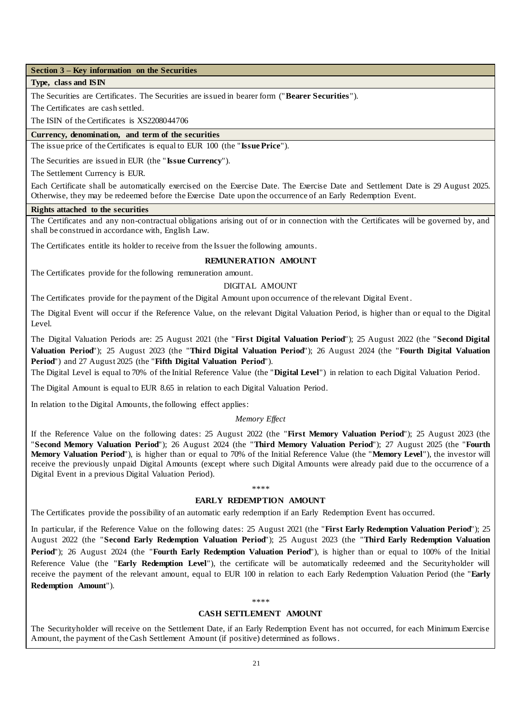#### **Section 3 – Key information on the Securities**

#### **Type, class and ISIN**

The Securities are Certificates. The Securities are issued in bearer form ("**Bearer Securities**").

The Certificates are cash settled.

The ISIN of the Certificates is XS2208044706

# **Currency, denomination, and term of the securities**

The issue price of the Certificates is equal to EUR 100 (the "**Issue Price**").

The Securities are issued in EUR (the "**Issue Currency**").

The Settlement Currency is EUR.

Each Certificate shall be automatically exercised on the Exercise Date. The Exercise Date and Settlement Date is 29 August 2025. Otherwise, they may be redeemed before the Exercise Date upon the occurrence of an Early Redemption Event.

#### **Rights attached to the securities**

The Certificates and any non-contractual obligations arising out of or in connection with the Certificates will be governed by, and shall be construed in accordance with, English Law.

The Certificates entitle its holder to receive from the Issuer the following amounts.

#### **REMUNERATION AMOUNT**

The Certificates provide for the following remuneration amount.

#### DIGITAL AMOUNT

The Certificates provide for the payment of the Digital Amount upon occurrence of the relevant Digital Event .

The Digital Event will occur if the Reference Value, on the relevant Digital Valuation Period, is higher than or equal to the Digital Level.

The Digital Valuation Periods are: 25 August 2021 (the "**First Digital Valuation Period**"); 25 August 2022 (the "**Second Digital Valuation Period**"); 25 August 2023 (the "**Third Digital Valuation Period**"); 26 August 2024 (the "**Fourth Digital Valuation Period**") and 27 August 2025 (the "**Fifth Digital Valuation Period**").

The Digital Level is equal to 70% of the Initial Reference Value (the "**Digital Level**") in relation to each Digital Valuation Period.

The Digital Amount is equal to EUR 8.65 in relation to each Digital Valuation Period.

In relation to the Digital Amounts, the following effect applies:

#### *Memory Effect*

If the Reference Value on the following dates: 25 August 2022 (the "**First Memory Valuation Period**"); 25 August 2023 (the "**Second Memory Valuation Period**"); 26 August 2024 (the "**Third Memory Valuation Period**"); 27 August 2025 (the "**Fourth Memory Valuation Period**"), is higher than or equal to 70% of the Initial Reference Value (the "**Memory Level**"), the investor will receive the previously unpaid Digital Amounts (except where such Digital Amounts were already paid due to the occurrence of a Digital Event in a previous Digital Valuation Period).

# *\*\*\*\**

#### **EARLY REDEMPTION AMOUNT**

The Certificates provide the possibility of an automatic early redemption if an Early Redemption Event has occurred.

In particular, if the Reference Value on the following dates: 25 August 2021 (the "**First Early Redemption Valuation Period**"); 25 August 2022 (the "**Second Early Redemption Valuation Period**"); 25 August 2023 (the "**Third Early Redemption Valuation Period**"); 26 August 2024 (the "**Fourth Early Redemption Valuation Period**"), is higher than or equal to 100% of the Initial Reference Value (the "**Early Redemption Level**"), the certificate will be automatically redeemed and the Securityholder will receive the payment of the relevant amount, equal to EUR 100 in relation to each Early Redemption Valuation Period (the "**Early Redemption Amount**").

#### *\*\*\*\**

#### **CASH SETTLEMENT AMOUNT**

The Securityholder will receive on the Settlement Date, if an Early Redemption Event has not occurred, for each Minimum Exercise Amount, the payment of the Cash Settlement Amount (if positive) determined as follows.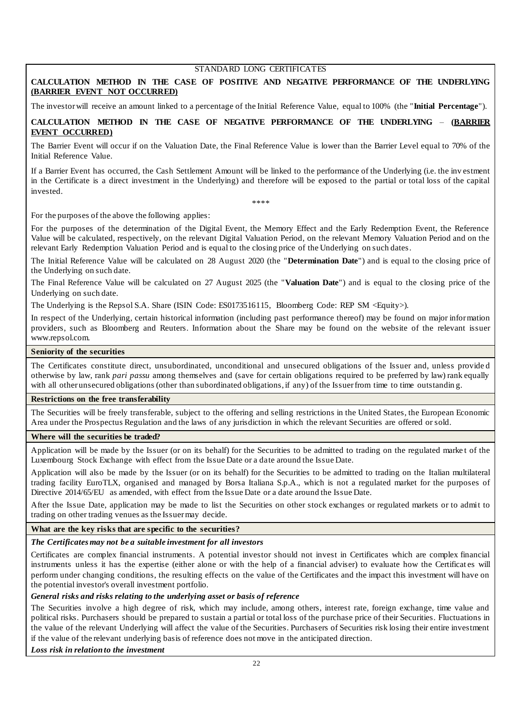#### STANDARD LONG CERTIFICATES

**CALCULATION METHOD IN THE CASE OF POSITIVE AND NEGATIVE PERFORMANCE OF THE UNDERLYING (BARRIER EVENT NOT OCCURRED)**

The investor will receive an amount linked to a percentage of the Initial Reference Value, equal to 100% (the "**Initial Percentage**").

# **CALCULATION METHOD IN THE CASE OF NEGATIVE PERFORMANCE OF THE UNDERLYING** – **(BARRIER EVENT OCCURRED)**

The Barrier Event will occur if on the Valuation Date, the Final Reference Value is lower than the Barrier Level equal to 70% of the Initial Reference Value.

If a Barrier Event has occurred, the Cash Settlement Amount will be linked to the performance of the Underlying (i.e. the inv estment in the Certificate is a direct investment in the Underlying) and therefore will be exposed to the partial or total loss of the capital invested.

*\*\*\*\**

For the purposes of the above the following applies:

For the purposes of the determination of the Digital Event, the Memory Effect and the Early Redemption Event, the Reference Value will be calculated, respectively, on the relevant Digital Valuation Period, on the relevant Memory Valuation Period and on the relevant Early Redemption Valuation Period and is equal to the closing price of the Underlying on such dates.

The Initial Reference Value will be calculated on 28 August 2020 (the "**Determination Date**") and is equal to the closing price of the Underlying on such date.

The Final Reference Value will be calculated on 27 August 2025 (the "**Valuation Date**") and is equal to the closing price of the Underlying on such date.

The Underlying is the Repsol S.A. Share (ISIN Code: ES0173516115, Bloomberg Code: REP SM <Equity>).

In respect of the Underlying, certain historical information (including past performance thereof) may be found on major information providers, such as Bloomberg and Reuters. Information about the Share may be found on the website of the relevant issuer www.repsol.com.

# **Seniority of the securities**

The Certificates constitute direct, unsubordinated, unconditional and unsecured obligations of the Issuer and, unless provide d otherwise by law, rank *pari passu* among themselves and (save for certain obligations required to be preferred by law) rank equally with all other unsecured obligations (other than subordinated obligations, if any) of the Issuer from time to time outstanding.

## **Restrictions on the free transferability**

The Securities will be freely transferable, subject to the offering and selling restrictions in the United States, the European Economic Area under the Prospectus Regulation and the laws of any jurisdiction in which the relevant Securities are offered or sold.

## **Where will the securities be traded?**

Application will be made by the Issuer (or on its behalf) for the Securities to be admitted to trading on the regulated marke t of the Luxembourg Stock Exchange with effect from the Issue Date or a date around the Issue Date.

Application will also be made by the Issuer (or on its behalf) for the Securities to be admitted to trading on the Italian multilateral trading facility EuroTLX, organised and managed by Borsa Italiana S.p.A., which is not a regulated market for the purposes of Directive 2014/65/EU as amended, with effect from the Issue Date or a date around the Issue Date.

After the Issue Date, application may be made to list the Securities on other stock exchanges or regulated markets or to admit to trading on other trading venues as the Issuer may decide.

## **What are the key risks that are specific to the securities?**

## *The Certificates may not be a suitable investment for all investors*

Certificates are complex financial instruments. A potential investor should not invest in Certificates which are complex financial instruments unless it has the expertise (either alone or with the help of a financial adviser) to evaluate how the Certificat es will perform under changing conditions, the resulting effects on the value of the Certificates and the impact this investment will have on the potential investor's overall investment portfolio.

## *General risks and risks relating to the underlying asset or basis of reference*

The Securities involve a high degree of risk, which may include, among others, interest rate, foreign exchange, time value and political risks. Purchasers should be prepared to sustain a partial or total loss of the purchase price of their Securities. Fluctuations in the value of the relevant Underlying will affect the value of the Securities. Purchasers of Securities risk losing their entire investment if the value of the relevant underlying basis of reference does not move in the anticipated direction.

*Loss risk in relation to the investment*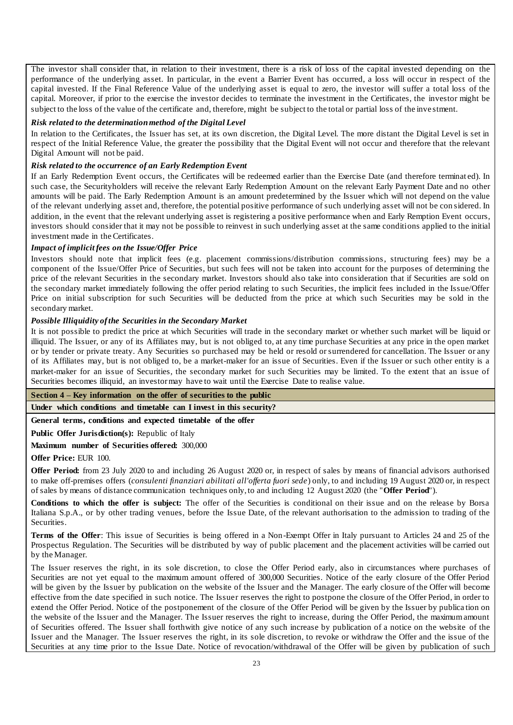The investor shall consider that, in relation to their investment, there is a risk of loss of the capital invested depending on the performance of the underlying asset. In particular, in the event a Barrier Event has occurred, a loss will occur in respect of the capital invested. If the Final Reference Value of the underlying asset is equal to zero, the investor will suffer a total loss of the capital. Moreover, if prior to the exercise the investor decides to terminate the investment in the Certificates, the investor might be subject to the loss of the value of the certificate and, therefore, might be subject to the total or partial loss of the inve stment.

#### *Risk related to the determination method of the Digital Level*

In relation to the Certificates, the Issuer has set, at its own discretion, the Digital Level. The more distant the Digital Level is set in respect of the Initial Reference Value, the greater the possibility that the Digital Event will not occur and therefore that the relevant Digital Amount will not be paid.

# *Risk related to the occurrence of an Early Redemption Event*

If an Early Redemption Event occurs, the Certificates will be redeemed earlier than the Exercise Date (and therefore terminat ed). In such case, the Securityholders will receive the relevant Early Redemption Amount on the relevant Early Payment Date and no other amounts will be paid. The Early Redemption Amount is an amount predetermined by the Issuer which will not depend on the value of the relevant underlying asset and, therefore, the potential positive performance of such underlying asset will not be con sidered. In addition, in the event that the relevant underlying asset is registering a positive performance when and Early Remption Event occurs, investors should consider that it may not be possible to reinvest in such underlying asset at the same conditions applied to the initial investment made in the Certificates.

#### *Impact of implicit fees on the Issue/Offer Price*

Investors should note that implicit fees (e.g. placement commissions/distribution commissions, structuring fees) may be a component of the Issue/Offer Price of Securities, but such fees will not be taken into account for the purposes of determining the price of the relevant Securities in the secondary market. Investors should also take into consideration that if Securities are sold on the secondary market immediately following the offer period relating to such Securities, the implicit fees included in the Issue/Offer Price on initial subscription for such Securities will be deducted from the price at which such Securities may be sold in the secondary market.

## *Possible Illiquidity of the Securities in the Secondary Market*

It is not possible to predict the price at which Securities will trade in the secondary market or whether such market will be liquid or illiquid. The Issuer, or any of its Affiliates may, but is not obliged to, at any time purchase Securities at any price in the open market or by tender or private treaty. Any Securities so purchased may be held or resold or surrendered for cancellation. The Issuer or any of its Affiliates may, but is not obliged to, be a market-maker for an issue of Securities. Even if the Issuer or such other entity is a market-maker for an issue of Securities, the secondary market for such Securities may be limited. To the extent that an issue of Securities becomes illiquid, an investor may have to wait until the Exercise Date to realise value.

**Section 4 – Key information on the offer of securities to the public**

**Under which conditions and timetable can I invest in this security?**

# **General terms, conditions and expected timetable of the offer**

**Public Offer Jurisdiction(s):** Republic of Italy

#### **Maximum number of Securities offered:** 300,000

**Offer Price:** EUR 100.

**Offer Period:** from 23 July 2020 to and including 26 August 2020 or, in respect of sales by means of financial advisors authorised to make off-premises offers (*consulenti finanziari abilitati all'offerta fuori sede*) only, to and including 19 August 2020 or, in respect of sales by means of distance communication techniques only, to and including 12 August 2020 (the "**Offer Period**").

**Conditions to which the offer is subject:** The offer of the Securities is conditional on their issue and on the release by Borsa Italiana S.p.A., or by other trading venues, before the Issue Date, of the relevant authorisation to the admission to trading of the Securities.

**Terms of the Offer**: This issue of Securities is being offered in a Non-Exempt Offer in Italy pursuant to Articles 24 and 25 of the Prospectus Regulation. The Securities will be distributed by way of public placement and the placement activities will be carried out by the Manager.

The Issuer reserves the right, in its sole discretion, to close the Offer Period early, also in circumstances where purchases of Securities are not yet equal to the maximum amount offered of 300,000 Securities. Notice of the early closure of the Offer Period will be given by the Issuer by publication on the website of the Issuer and the Manager. The early closure of the Offer will become effective from the date specified in such notice. The Issuer reserves the right to postpone the closure of the Offer Period, in order to extend the Offer Period. Notice of the postponement of the closure of the Offer Period will be given by the Issuer by publica tion on the website of the Issuer and the Manager. The Issuer reserves the right to increase, during the Offer Period, the maximum amount of Securities offered. The Issuer shall forthwith give notice of any such increase by publication of a notice on the website of the Issuer and the Manager. The Issuer reserves the right, in its sole discretion, to revoke or withdraw the Offer and the issue of the Securities at any time prior to the Issue Date. Notice of revocation/withdrawal of the Offer will be given by publication of such